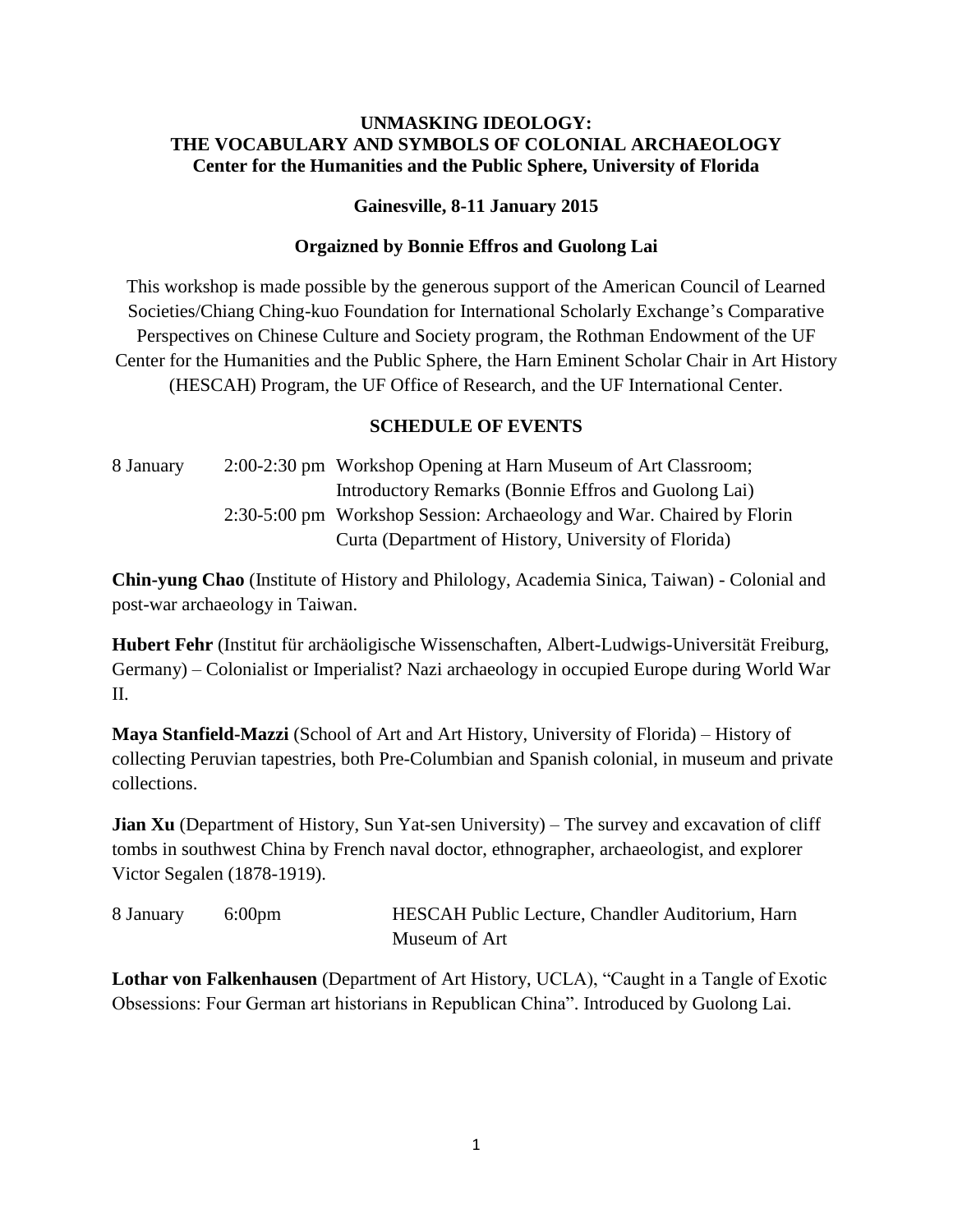## **UNMASKING IDEOLOGY: THE VOCABULARY AND SYMBOLS OF COLONIAL ARCHAEOLOGY Center for the Humanities and the Public Sphere, University of Florida**

## **Gainesville, 8-11 January 2015**

## **Orgaizned by Bonnie Effros and Guolong Lai**

This workshop is made possible by the generous support of the American Council of Learned Societies/Chiang Ching-kuo Foundation for International Scholarly Exchange's Comparative Perspectives on Chinese Culture and Society program, the Rothman Endowment of the UF Center for the Humanities and the Public Sphere, the Harn Eminent Scholar Chair in Art History (HESCAH) Program, the UF Office of Research, and the UF International Center.

## **SCHEDULE OF EVENTS**

8 January 2:00-2:30 pm Workshop Opening at Harn Museum of Art Classroom; Introductory Remarks (Bonnie Effros and Guolong Lai) 2:30-5:00 pm Workshop Session: Archaeology and War. Chaired by Florin Curta (Department of History, University of Florida)

**Chin-yung Chao** (Institute of History and Philology, Academia Sinica, Taiwan) - Colonial and post-war archaeology in Taiwan.

**Hubert Fehr** (Institut für archäoligische Wissenschaften, Albert-Ludwigs-Universität Freiburg, Germany) – Colonialist or Imperialist? Nazi archaeology in occupied Europe during World War II.

**Maya Stanfield-Mazzi** (School of Art and Art History, University of Florida) – History of collecting Peruvian tapestries, both Pre-Columbian and Spanish colonial, in museum and private collections.

**Jian Xu** (Department of History, Sun Yat-sen University) – The survey and excavation of cliff tombs in southwest China by French naval doctor, ethnographer, archaeologist, and explorer Victor Segalen (1878-1919).

| 8 January 6:00pm | HESCAH Public Lecture, Chandler Auditorium, Harn |
|------------------|--------------------------------------------------|
|                  | Museum of Art                                    |

**Lothar von Falkenhausen** (Department of Art History, UCLA), "Caught in a Tangle of Exotic Obsessions: Four German art historians in Republican China". Introduced by Guolong Lai.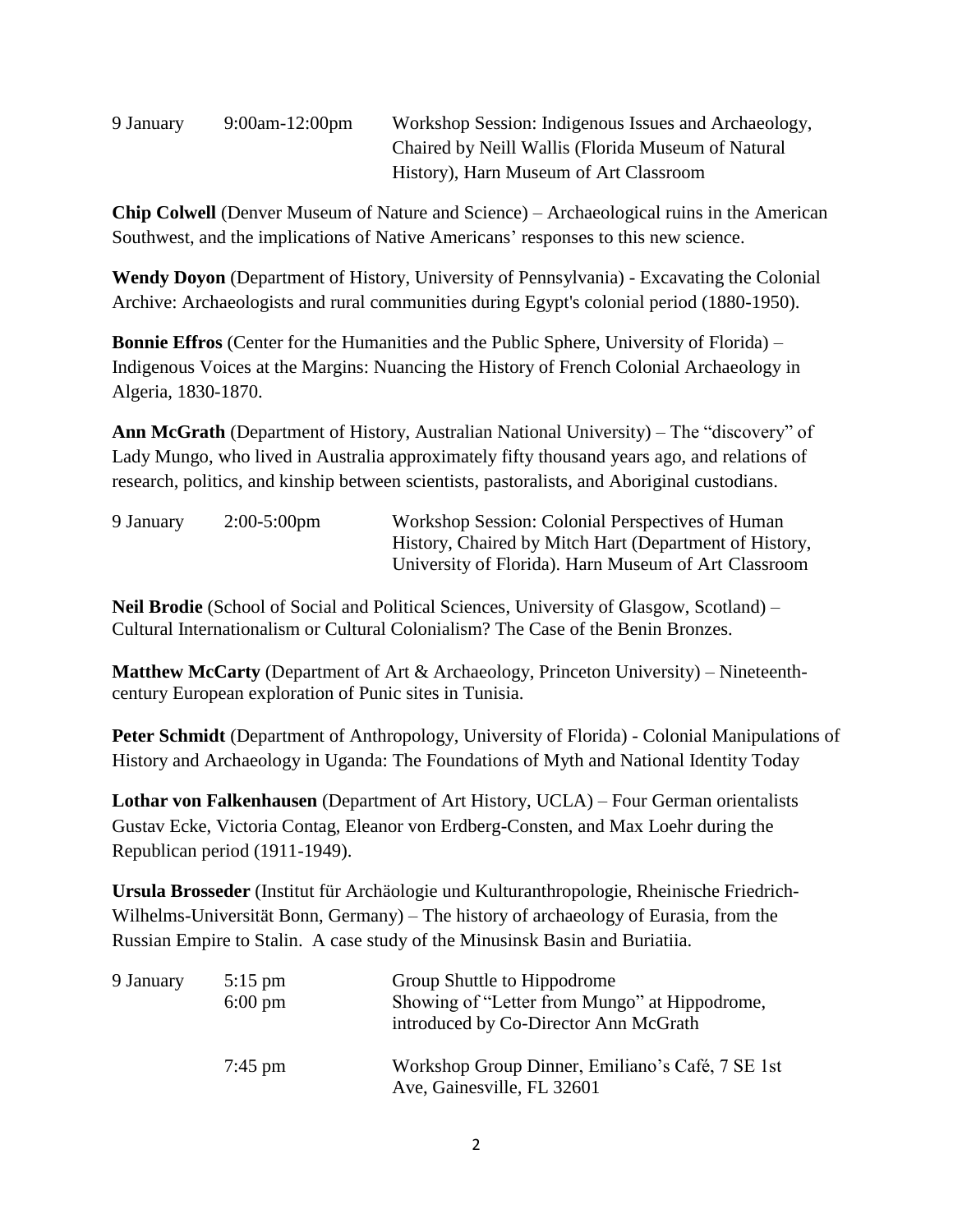| 9:00am-12:00pm<br>9 January |  |
|-----------------------------|--|
|-----------------------------|--|

Workshop Session: Indigenous Issues and Archaeology, Chaired by Neill Wallis (Florida Museum of Natural History), Harn Museum of Art Classroom

**Chip Colwell** (Denver Museum of Nature and Science) – Archaeological ruins in the American Southwest, and the implications of Native Americans' responses to this new science.

**Wendy Doyon** (Department of History, University of Pennsylvania) - Excavating the Colonial Archive: Archaeologists and rural communities during Egypt's colonial period (1880-1950).

**Bonnie Effros** (Center for the Humanities and the Public Sphere, University of Florida) – Indigenous Voices at the Margins: Nuancing the History of French Colonial Archaeology in Algeria, 1830-1870.

**Ann McGrath** (Department of History, Australian National University) – The "discovery" of Lady Mungo, who lived in Australia approximately fifty thousand years ago, and relations of research, politics, and kinship between scientists, pastoralists, and Aboriginal custodians.

| 9 January | $2:00-5:00$ pm | Workshop Session: Colonial Perspectives of Human       |
|-----------|----------------|--------------------------------------------------------|
|           |                | History, Chaired by Mitch Hart (Department of History, |
|           |                | University of Florida). Harn Museum of Art Classroom   |

**Neil Brodie** (School of Social and Political Sciences, University of Glasgow, Scotland) – Cultural Internationalism or Cultural Colonialism? The Case of the Benin Bronzes.

**Matthew McCarty** (Department of Art & Archaeology, Princeton University) – Nineteenthcentury European exploration of Punic sites in Tunisia.

Peter Schmidt (Department of Anthropology, University of Florida) - Colonial Manipulations of History and Archaeology in Uganda: The Foundations of Myth and National Identity Today

**Lothar von Falkenhausen** (Department of Art History, UCLA) – Four German orientalists Gustav Ecke, Victoria Contag, Eleanor von Erdberg-Consten, and Max Loehr during the Republican period (1911-1949).

**Ursula Brosseder** (Institut für Archäologie und Kulturanthropologie, Rheinische Friedrich-Wilhelms-Universität Bonn, Germany) – The history of archaeology of Eurasia, from the Russian Empire to Stalin. A case study of the Minusinsk Basin and Buriatiia.

| 9 January | $5:15$ pm<br>$6:00 \text{ pm}$ | Group Shuttle to Hippodrome<br>Showing of "Letter from Mungo" at Hippodrome,<br>introduced by Co-Director Ann McGrath |
|-----------|--------------------------------|-----------------------------------------------------------------------------------------------------------------------|
|           | $7:45 \text{ pm}$              | Workshop Group Dinner, Emiliano's Café, 7 SE 1st<br>Ave, Gainesville, FL 32601                                        |